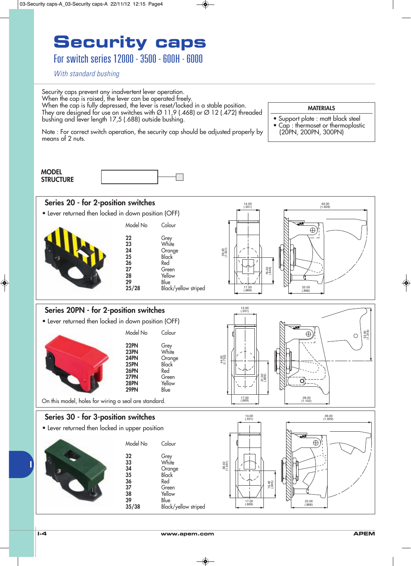For switch series 12000 - 3500 - 600H - 6000

With standard bushing

Security caps prevent any inadvertent lever operation. When the cap is raised, the lever can be operated freely. When the cap is fully depressed, the lever is reset/locked in a stable position. They are designed for use on switches with Ø 11,9 (.468) or Ø 12 (.472) threaded bushing and lever length 17,5 (.688) outside bushing.

**MATERIALS** 

- Support plate : matt black steel<br>• Can : thermoset or thermoplast
- Cap : thermoset or thermoplastic (20PN, 200PN, 300PN)

Note : For correct switch operation, the security cap should be adjusted properly by means of 2 nuts.

| <b>MODEL</b>     |  |
|------------------|--|
| <b>STRUCTURE</b> |  |
|                  |  |



### Series 20PN - for 2-position switches

• Lever returned then locked in down position (OFF)

| Model No                                                           | Colour                                                                    |
|--------------------------------------------------------------------|---------------------------------------------------------------------------|
| 22PN<br>23PN<br>24PN<br>25PN<br><b>26PN</b><br>27PN<br><b>28PN</b> | Grey<br>White<br>Orange<br><b>Black</b><br>Red<br>Green<br>Yellow<br>Blue |
|                                                                    | 29PN                                                                      |

On this model, holes for wiring a seal are standard.

### Series 30 - for 3-position switches

• Lever returned then locked in upper position

| Model No             | Colour                       |
|----------------------|------------------------------|
| 32                   | Grey<br>White                |
| 33<br>34<br>35<br>36 | Orange<br>Black<br>Red       |
| 37<br>38<br>39       | Green<br>Yellow              |
| 35/38                | Blue<br>Black/yellow striped |



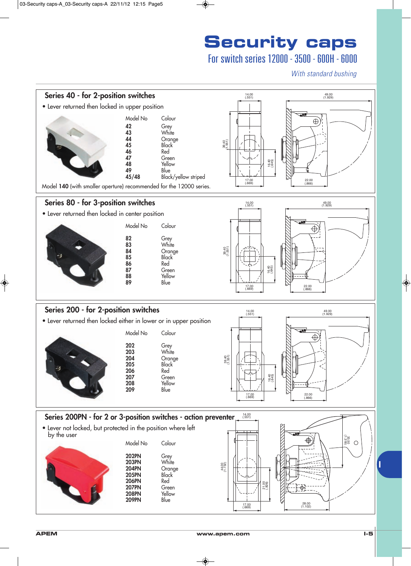### For switch series 12000 - 3500 - 600H - 6000

With standard bushing

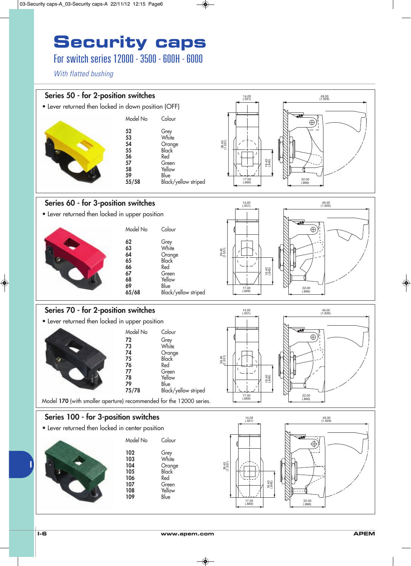### For switch series 12000 - 3500 - 600H - 6000

With flatted bushing

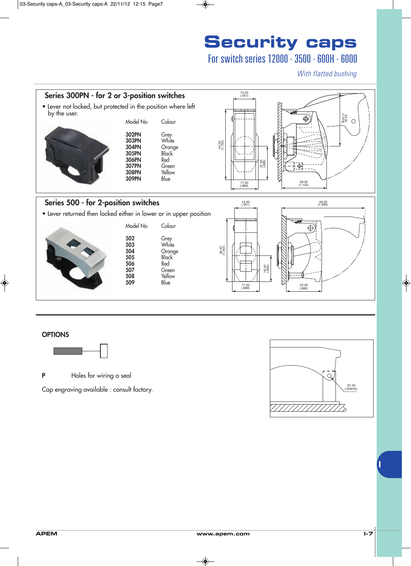## For switch series 12000 - 3500 - 600H - 6000

With flatted bushing



#### **OPTIONS**



P Holes for wiring a seal

Cap engraving available : consult factory.

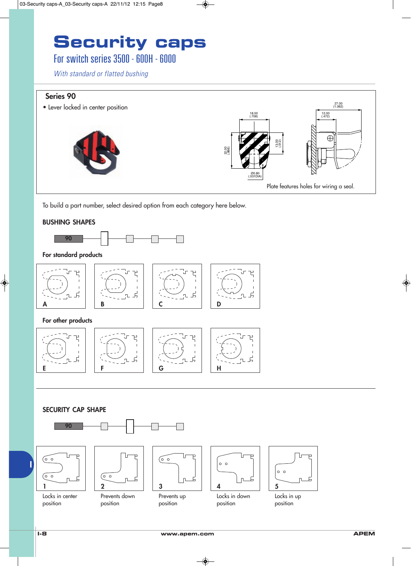### For switch series 3500 - 600H - 6000

With standard or flatted bushing

### Series 90

27.00 (1.062) • Lever locked in center position 18.00 12.00 (.708) (.472)  $\bigoplus$ 13.00 (.512) 22.00 (.866) *Ø*0.80<br>*LO31DIA* Plate features holes for wiring a seal.

To build a part number, select desired option from each category here below.

#### BUSHING SHAPES



#### For standard products









#### For other products



#### SECURITY CAP SHAPE



Locks in center position

position

Prevents up position





Locks in up position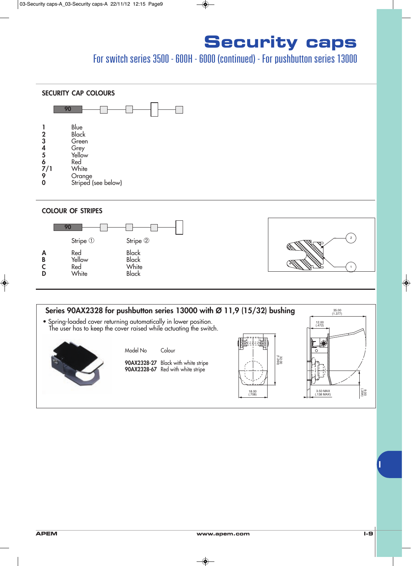## For switch series 3500 - 600H - 6000 (continued) - For pushbutton series 13000